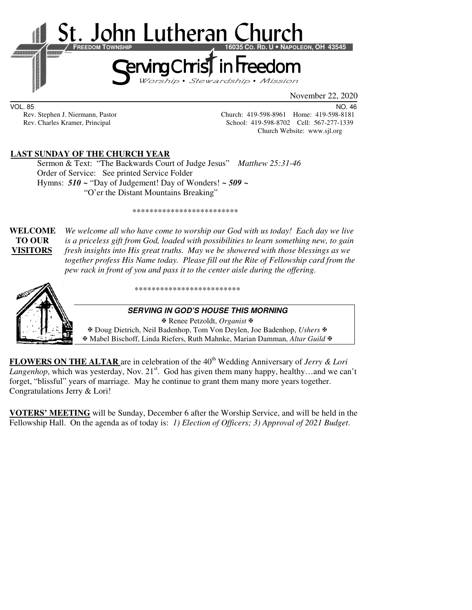

VOL. 85 NO. 46 Rev. Stephen J. Niermann, Pastor Church: 419-598-8961 Home: 419-598-8181<br>Rev. Charles Kramer, Principal Church: 419-598-8702 Cell: 567-277-1339 School: 419-598-8702 Cell: 567-277-1339 Church Website: www.sjl.org

## **LAST SUNDAY OF THE CHURCH YEAR**

 Sermon & Text: "The Backwards Court of Judge Jesus" *Matthew 25:31-46* Order of Service: See printed Service Folder Hymns: *510 ~* "Day of Judgement! Day of Wonders! *~ 509 ~* "O'er the Distant Mountains Breaking"

\*\*\*\*\*\*\*\*\*\*\*\*\*\*\*\*\*\*\*\*\*\*\*\*\*

**WELCOME** *We welcome all who have come to worship our God with us today! Each day we live* **TO OUR** *is a priceless gift from God, loaded with possibilities to learn something new, to gain*  **VISITORS** *fresh insights into His great truths. May we be showered with those blessings as we together profess His Name today. Please fill out the Rite of Fellowship card from the pew rack in front of you and pass it to the center aisle during the offering.* 



\*\*\*\*\*\*\*\*\*\*\*\*\*\*\*\*\*\*\*\*\*\*\*\*\*

#### **SERVING IN GOD'S HOUSE THIS MORNING**

 Renee Petzoldt, *Organist* Doug Dietrich, Neil Badenhop, Tom Von Deylen, Joe Badenhop, *Ushers* Mabel Bischoff, Linda Riefers, Ruth Mahnke, Marian Damman, *Altar Guild*

**FLOWERS ON THE ALTAR** are in celebration of the 40<sup>th</sup> Wedding Anniversary of *Jerry & Lori Langenhop*, which was yesterday, Nov.  $21<sup>st</sup>$ . God has given them many happy, healthy...and we can't forget, "blissful" years of marriage. May he continue to grant them many more years together. Congratulations Jerry & Lori!

**VOTERS' MEETING** will be Sunday, December 6 after the Worship Service, and will be held in the Fellowship Hall. On the agenda as of today is: *1) Election of Officers; 3) Approval of 2021 Budget*.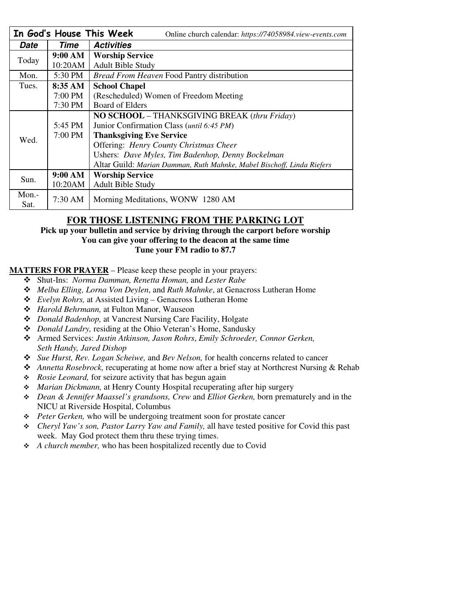| In God's House This Week<br>Online church calendar: https://74058984.view-events.com |         |                                                                        |  |  |
|--------------------------------------------------------------------------------------|---------|------------------------------------------------------------------------|--|--|
| Date                                                                                 | Time    | <b>Activities</b>                                                      |  |  |
| Today                                                                                | 9:00 AM | <b>Worship Service</b>                                                 |  |  |
|                                                                                      | 10:20AM | <b>Adult Bible Study</b>                                               |  |  |
| Mon.                                                                                 | 5:30 PM | <i>Bread From Heaven Food Pantry distribution</i>                      |  |  |
| Tues.                                                                                | 8:35 AM | <b>School Chapel</b>                                                   |  |  |
|                                                                                      | 7:00 PM | (Rescheduled) Women of Freedom Meeting                                 |  |  |
|                                                                                      | 7:30 PM | Board of Elders                                                        |  |  |
| Wed.                                                                                 |         | <b>NO SCHOOL</b> – THANKSGIVING BREAK (thru Friday)                    |  |  |
|                                                                                      | 5:45 PM | Junior Confirmation Class ( <i>until 6:45 PM</i> )                     |  |  |
|                                                                                      | 7:00 PM | <b>Thanksgiving Eve Service</b>                                        |  |  |
|                                                                                      |         | Offering: Henry County Christmas Cheer                                 |  |  |
|                                                                                      |         | Ushers: Dave Myles, Tim Badenhop, Denny Bockelman                      |  |  |
|                                                                                      |         | Altar Guild: Marian Damman, Ruth Mahnke, Mabel Bischoff, Linda Riefers |  |  |
| Sun.                                                                                 | 9:00 AM | <b>Worship Service</b>                                                 |  |  |
|                                                                                      | 10:20AM | <b>Adult Bible Study</b>                                               |  |  |
| $Mon. -$                                                                             |         |                                                                        |  |  |
| Sat.                                                                                 | 7:30 AM | Morning Meditations, WONW 1280 AM                                      |  |  |

# **FOR THOSE LISTENING FROM THE PARKING LOT**

**Pick up your bulletin and service by driving through the carport before worship You can give your offering to the deacon at the same time Tune your FM radio to 87.7** 

#### **MATTERS FOR PRAYER** – Please keep these people in your prayers:

- Shut-Ins: *Norma Damman, Renetta Homan,* and *Lester Rabe*
- *Melba Elling, Lorna Von Deylen*, and *Ruth Mahnke*, at Genacross Lutheran Home
- *Evelyn Rohrs,* at Assisted Living Genacross Lutheran Home
- *Harold Behrmann,* at Fulton Manor, Wauseon
- *Donald Badenhop,* at Vancrest Nursing Care Facility, Holgate
- *Donald Landry,* residing at the Ohio Veteran's Home, Sandusky
- Armed Services: *Justin Atkinson, Jason Rohrs*, *Emily Schroeder, Connor Gerken, Seth Handy, Jared Dishop*
- *Sue Hurst, Rev. Logan Scheiwe,* and *Bev Nelson,* for health concerns related to cancer
- *Annetta Rosebrock,* recuperating at home now after a brief stay at Northcrest Nursing & Rehab
- *Rosie Leonard,* for seizure activity that has begun again
- *Marian Dickmann,* at Henry County Hospital recuperating after hip surgery
- *Dean & Jennifer Maassel's grandsons, Crew* and *Elliot Gerken,* born prematurely and in the NICU at Riverside Hospital, Columbus
- *Peter Gerken,* who will be undergoing treatment soon for prostate cancer
- *Cheryl Yaw's son, Pastor Larry Yaw and Family,* all have tested positive for Covid this past week. May God protect them thru these trying times.
- *A church member,* who has been hospitalized recently due to Covid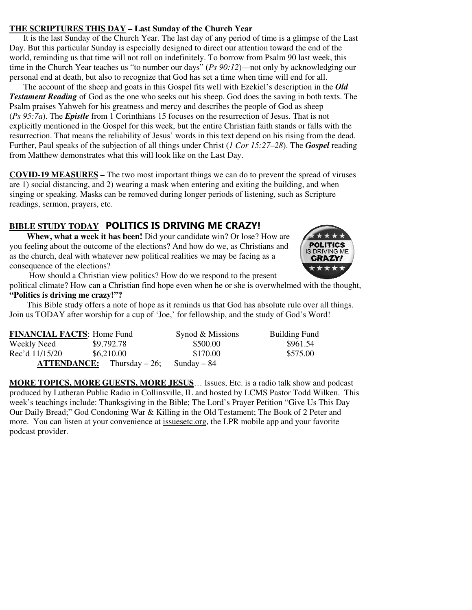#### **THE SCRIPTURES THIS DAY – Last Sunday of the Church Year**

It is the last Sunday of the Church Year. The last day of any period of time is a glimpse of the Last Day. But this particular Sunday is especially designed to direct our attention toward the end of the world, reminding us that time will not roll on indefinitely. To borrow from Psalm 90 last week, this time in the Church Year teaches us "to number our days" (*Ps 90:12*)—not only by acknowledging our personal end at death, but also to recognize that God has set a time when time will end for all.

The account of the sheep and goats in this Gospel fits well with Ezekiel's description in the *Old Testament Reading* of God as the one who seeks out his sheep. God does the saving in both texts. The Psalm praises Yahweh for his greatness and mercy and describes the people of God as sheep (*Ps 95:7a*). The *Epistle* from 1 Corinthians 15 focuses on the resurrection of Jesus. That is not explicitly mentioned in the Gospel for this week, but the entire Christian faith stands or falls with the resurrection. That means the reliability of Jesus' words in this text depend on his rising from the dead. Further, Paul speaks of the subjection of all things under Christ (*1 Cor 15:27–28*). The *Gospel* reading from Matthew demonstrates what this will look like on the Last Day.

**COVID-19 MEASURES –** The two most important things we can do to prevent the spread of viruses are 1) social distancing, and 2) wearing a mask when entering and exiting the building, and when singing or speaking. Masks can be removed during longer periods of listening, such as Scripture readings, sermon, prayers, etc.

## **BIBLE STUDY TODAY POLITICS IS DRIVING ME CRAZY!**

**Whew, what a week it has been!** Did your candidate win? Or lose? How are you feeling about the outcome of the elections? And how do we, as Christians and as the church, deal with whatever new political realities we may be facing as a consequence of the elections?



 How should a Christian view politics? How do we respond to the present political climate? How can a Christian find hope even when he or she is overwhelmed with the thought,

#### **"Politics is driving me crazy!"?**

This Bible study offers a note of hope as it reminds us that God has absolute rule over all things. Join us TODAY after worship for a cup of 'Joe,' for fellowship, and the study of God's Word!

| <b>FINANCIAL FACTS: Home Fund</b> |                                       | Synod & Missions | <b>Building Fund</b> |
|-----------------------------------|---------------------------------------|------------------|----------------------|
| Weekly Need                       | \$9,792.78                            | \$500.00         | \$961.54             |
| Rec'd 11/15/20                    | \$6,210.00                            | \$170.00         | \$575.00             |
|                                   | $\textbf{ATTENDANCE:}$ Thursday – 26; | Sunday – 84      |                      |

**MORE TOPICS, MORE GUESTS, MORE JESUS**… Issues, Etc. is a radio talk show and podcast produced by Lutheran Public Radio in Collinsville, IL and hosted by LCMS Pastor Todd Wilken. This week's teachings include: Thanksgiving in the Bible; The Lord's Prayer Petition "Give Us This Day Our Daily Bread;" God Condoning War & Killing in the Old Testament; The Book of 2 Peter and more. You can listen at your convenience at issuesetc.org, the LPR mobile app and your favorite podcast provider.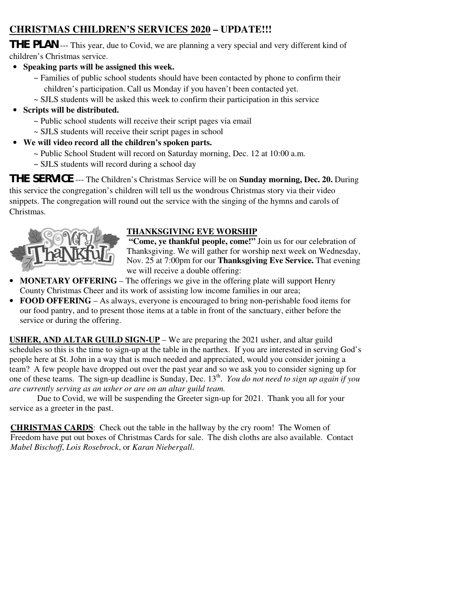# **CHRISTMAS CHILDREN'S SERVICES 2020 – UPDATE!!!**

**THE PLAN** --- This year, due to Covid, we are planning a very special and very different kind of children's Christmas service.

- **Speaking parts will be assigned this week.** 
	- $\sim$  Families of public school students should have been contacted by phone to confirm their children's participation. Call us Monday if you haven't been contacted yet.
	- $\sim$  SJLS students will be asked this week to confirm their participation in this service

# • **Scripts will be distributed.**

- ~ Public school students will receive their script pages via email
- ~ SJLS students will receive their script pages in school
- **We will video record all the children's spoken parts.** 
	- ~ Public School Student will record on Saturday morning, Dec. 12 at 10:00 a.m.
	- ~ SJLS students will record during a school day

**THE SERVICE** --- The Children's Christmas Service will be on **Sunday morning, Dec. 20.** During this service the congregation's children will tell us the wondrous Christmas story via their video snippets. The congregation will round out the service with the singing of the hymns and carols of Christmas.



# **THANKSGIVING EVE WORSHIP**

 **"Come, ye thankful people, come!"** Join us for our celebration of Thanksgiving. We will gather for worship next week on Wednesday, Nov. 25 at 7:00pm for our **Thanksgiving Eve Service.** That evening we will receive a double offering:

- **MONETARY OFFERING** The offerings we give in the offering plate will support Henry County Christmas Cheer and its work of assisting low income families in our area;
- **FOOD OFFERING** As always, everyone is encouraged to bring non-perishable food items for our food pantry, and to present those items at a table in front of the sanctuary, either before the service or during the offering.

**USHER, AND ALTAR GUILD SIGN-UP** – We are preparing the 2021 usher, and altar guild schedules so this is the time to sign-up at the table in the narthex. If you are interested in serving God's people here at St. John in a way that is much needed and appreciated, would you consider joining a team? A few people have dropped out over the past year and so we ask you to consider signing up for one of these teams. The sign-up deadline is Sunday, Dec. 13<sup>th</sup>. *You do not need to sign up again if you are currently serving as an usher or are on an altar guild team.* 

 Due to Covid, we will be suspending the Greeter sign-up for 2021. Thank you all for your service as a greeter in the past.

**CHRISTMAS CARDS**: Check out the table in the hallway by the cry room! The Women of Freedom have put out boxes of Christmas Cards for sale. The dish cloths are also available. Contact *Mabel Bischoff*, *Lois Rosebrock*, or *Karan Niebergall*.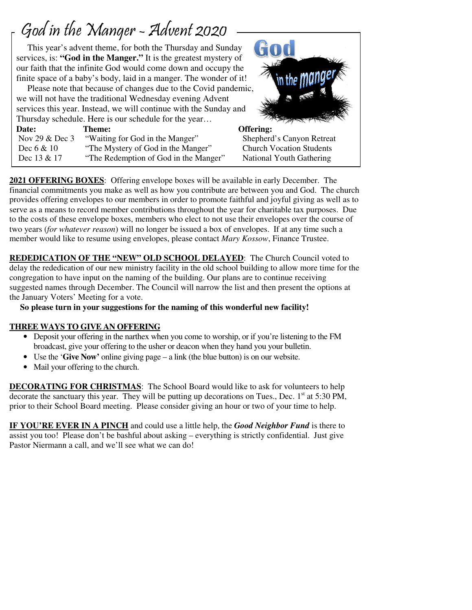# God in the Manger - Advent 2020

 $\overline{1}$ 

 This year's advent theme, for both the Thursday and Sunday services, is: **"God in the Manger."** It is the greatest mystery of our faith that the infinite God would come down and occupy the finite space of a baby's body, laid in a manger. The wonder of it!

 Please note that because of changes due to the Covid pandemic, we will not have the traditional Wednesday evening Advent services this year. Instead, we will continue with the Sunday and Thursday schedule. Here is our schedule for the year… Date: Theme: **Theme:** Offering:

| Nov 29 $&$ Dec 3 | "Waiting for God in the Manger"       | Shephe  |
|------------------|---------------------------------------|---------|
| Dec $6 & 10$     | "The Mystery of God in the Manger"    | Church  |
| Dec 13 & 17      | "The Redemption of God in the Manger" | Nationa |

600 erd's Canyon Retreat Vocation Students al Youth Gathering

**2021 OFFERING BOXES**: Offering envelope boxes will be available in early December. The financial commitments you make as well as how you contribute are between you and God. The church provides offering envelopes to our members in order to promote faithful and joyful giving as well as to serve as a means to record member contributions throughout the year for charitable tax purposes. Due to the costs of these envelope boxes, members who elect to not use their envelopes over the course of two years (*for whatever reason*) will no longer be issued a box of envelopes. If at any time such a member would like to resume using envelopes, please contact *Mary Kossow*, Finance Trustee.

**REDEDICATION OF THE "NEW" OLD SCHOOL DELAYED**: The Church Council voted to delay the rededication of our new ministry facility in the old school building to allow more time for the congregation to have input on the naming of the building. Our plans are to continue receiving suggested names through December. The Council will narrow the list and then present the options at the January Voters' Meeting for a vote.

 **So please turn in your suggestions for the naming of this wonderful new facility!** 

# **THREE WAYS TO GIVE AN OFFERING**

- Deposit your offering in the narthex when you come to worship, or if you're listening to the FM broadcast, give your offering to the usher or deacon when they hand you your bulletin.
- Use the '**Give Now'** online giving page a link (the blue button) is on our website.
- Mail your offering to the church.

**DECORATING FOR CHRISTMAS**: The School Board would like to ask for volunteers to help decorate the sanctuary this year. They will be putting up decorations on Tues., Dec.  $1<sup>st</sup>$  at 5:30 PM, prior to their School Board meeting. Please consider giving an hour or two of your time to help.

**IF YOU'RE EVER IN A PINCH** and could use a little help, the *Good Neighbor Fund* is there to assist you too! Please don't be bashful about asking – everything is strictly confidential. Just give Pastor Niermann a call, and we'll see what we can do!